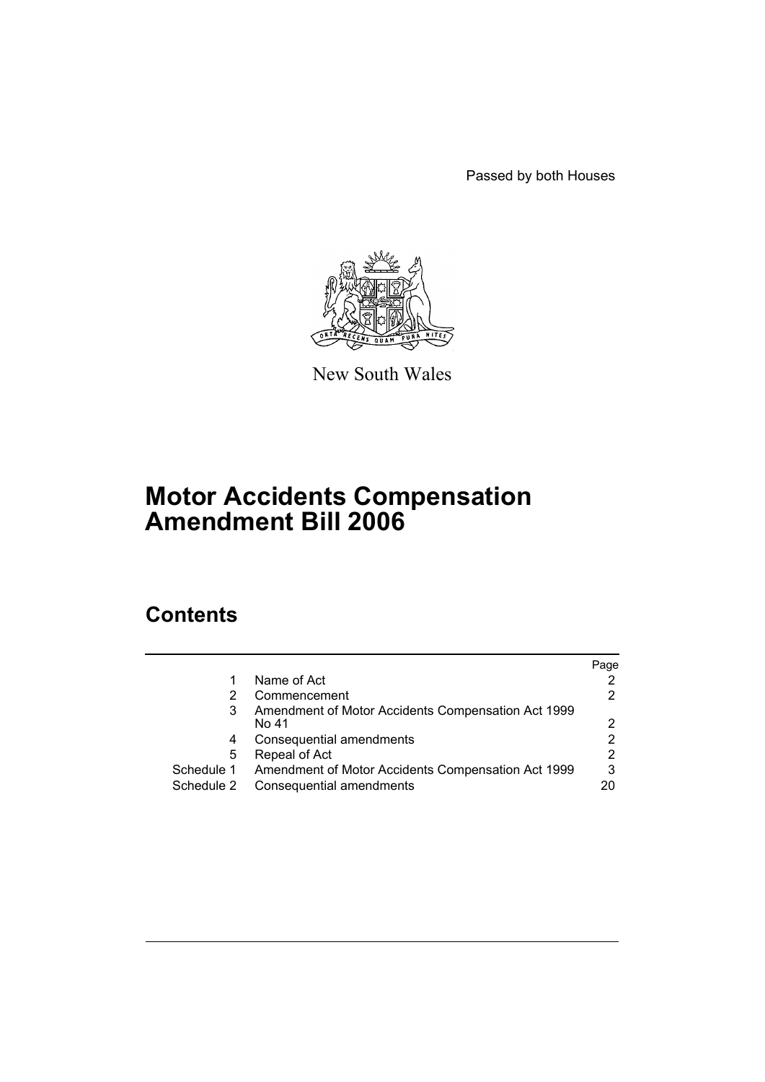Passed by both Houses



New South Wales

# **Motor Accidents Compensation Amendment Bill 2006**

# **Contents**

|            |                                                    | Page |
|------------|----------------------------------------------------|------|
|            | Name of Act                                        |      |
|            | Commencement                                       |      |
| 3          | Amendment of Motor Accidents Compensation Act 1999 |      |
|            | No 41                                              | ◠    |
| 4          | Consequential amendments                           | 2    |
| 5          | Repeal of Act                                      | 2    |
| Schedule 1 | Amendment of Motor Accidents Compensation Act 1999 | 3    |
| Schedule 2 | Consequential amendments                           |      |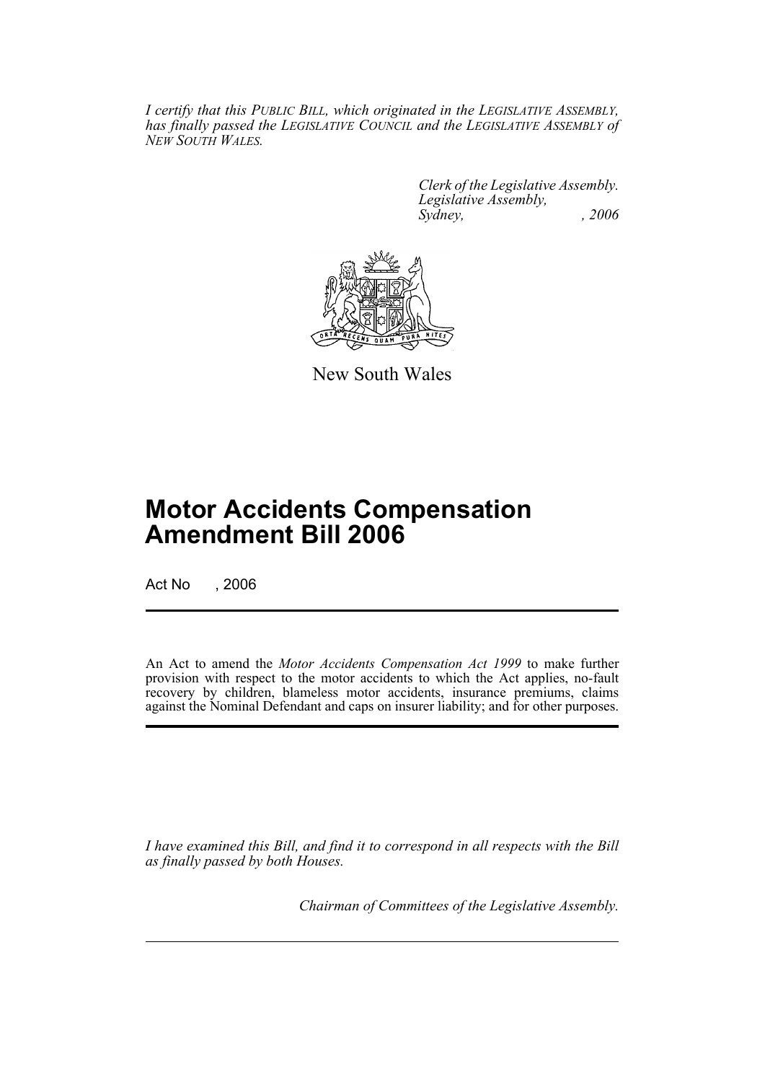*I certify that this PUBLIC BILL, which originated in the LEGISLATIVE ASSEMBLY, has finally passed the LEGISLATIVE COUNCIL and the LEGISLATIVE ASSEMBLY of NEW SOUTH WALES.*

> *Clerk of the Legislative Assembly. Legislative Assembly, Sydney, , 2006*



New South Wales

# **Motor Accidents Compensation Amendment Bill 2006**

Act No , 2006

An Act to amend the *Motor Accidents Compensation Act 1999* to make further provision with respect to the motor accidents to which the Act applies, no-fault recovery by children, blameless motor accidents, insurance premiums, claims against the Nominal Defendant and caps on insurer liability; and for other purposes.

*I have examined this Bill, and find it to correspond in all respects with the Bill as finally passed by both Houses.*

*Chairman of Committees of the Legislative Assembly.*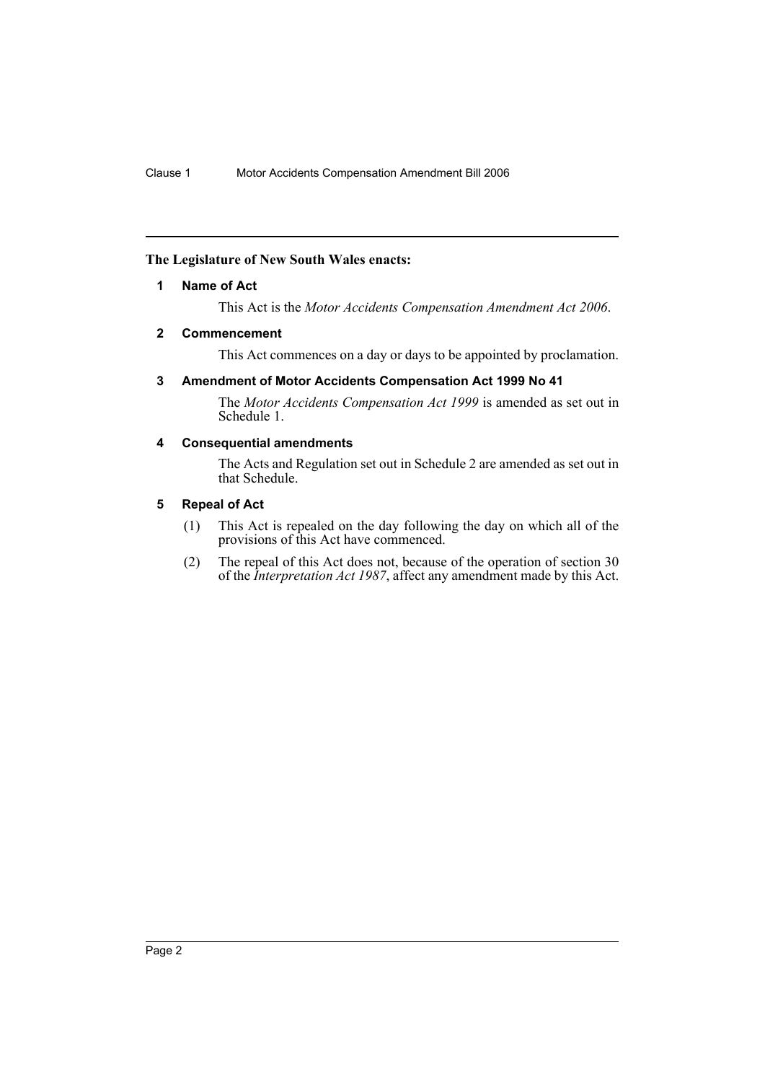## **The Legislature of New South Wales enacts:**

## **1 Name of Act**

This Act is the *Motor Accidents Compensation Amendment Act 2006*.

## **2 Commencement**

This Act commences on a day or days to be appointed by proclamation.

## **3 Amendment of Motor Accidents Compensation Act 1999 No 41**

The *Motor Accidents Compensation Act 1999* is amended as set out in Schedule 1.

## **4 Consequential amendments**

The Acts and Regulation set out in Schedule 2 are amended as set out in that Schedule.

## **5 Repeal of Act**

- (1) This Act is repealed on the day following the day on which all of the provisions of this Act have commenced.
- (2) The repeal of this Act does not, because of the operation of section 30 of the *Interpretation Act 1987*, affect any amendment made by this Act.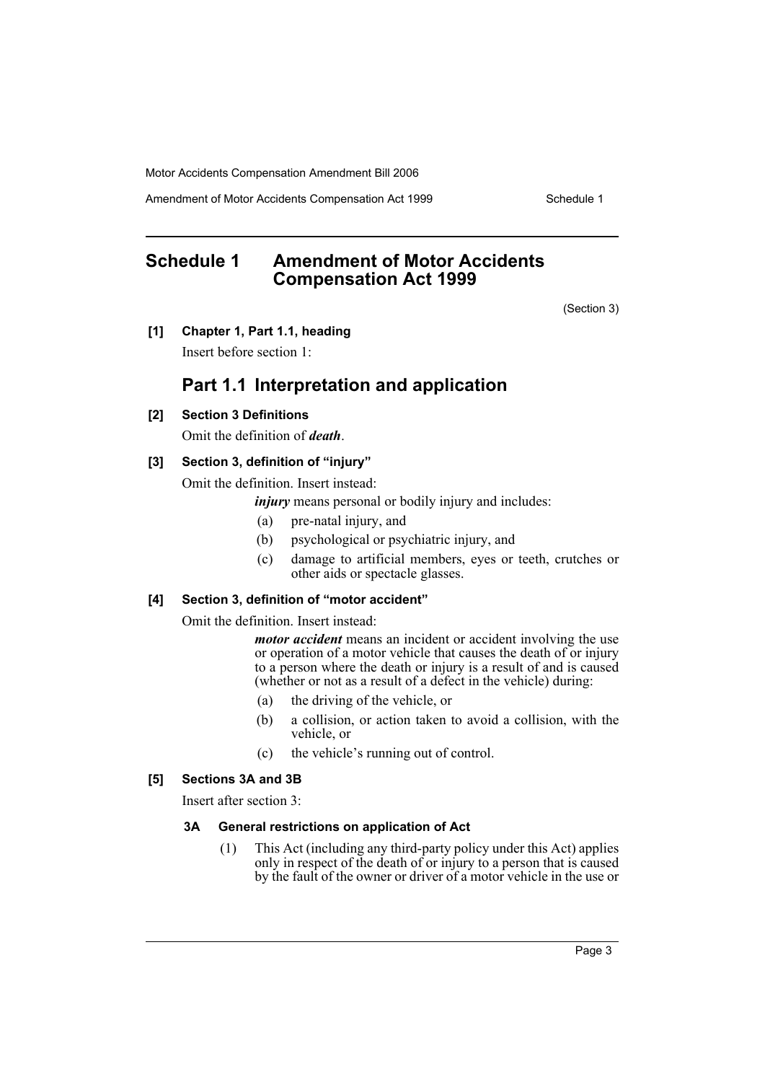Amendment of Motor Accidents Compensation Act 1999 Schedule 1

# **Schedule 1 Amendment of Motor Accidents Compensation Act 1999**

(Section 3)

**[1] Chapter 1, Part 1.1, heading**

Insert before section 1:

## **Part 1.1 Interpretation and application**

### **[2] Section 3 Definitions**

Omit the definition of *death*.

## **[3] Section 3, definition of "injury"**

Omit the definition. Insert instead:

*injury* means personal or bodily injury and includes:

- (a) pre-natal injury, and
- (b) psychological or psychiatric injury, and
- (c) damage to artificial members, eyes or teeth, crutches or other aids or spectacle glasses.

## **[4] Section 3, definition of "motor accident"**

Omit the definition. Insert instead:

*motor accident* means an incident or accident involving the use or operation of a motor vehicle that causes the death of or injury to a person where the death or injury is a result of and is caused (whether or not as a result of a defect in the vehicle) during:

- (a) the driving of the vehicle, or
- (b) a collision, or action taken to avoid a collision, with the vehicle, or
- (c) the vehicle's running out of control.

## **[5] Sections 3A and 3B**

Insert after section 3:

#### **3A General restrictions on application of Act**

(1) This Act (including any third-party policy under this Act) applies only in respect of the death of or injury to a person that is caused by the fault of the owner or driver of a motor vehicle in the use or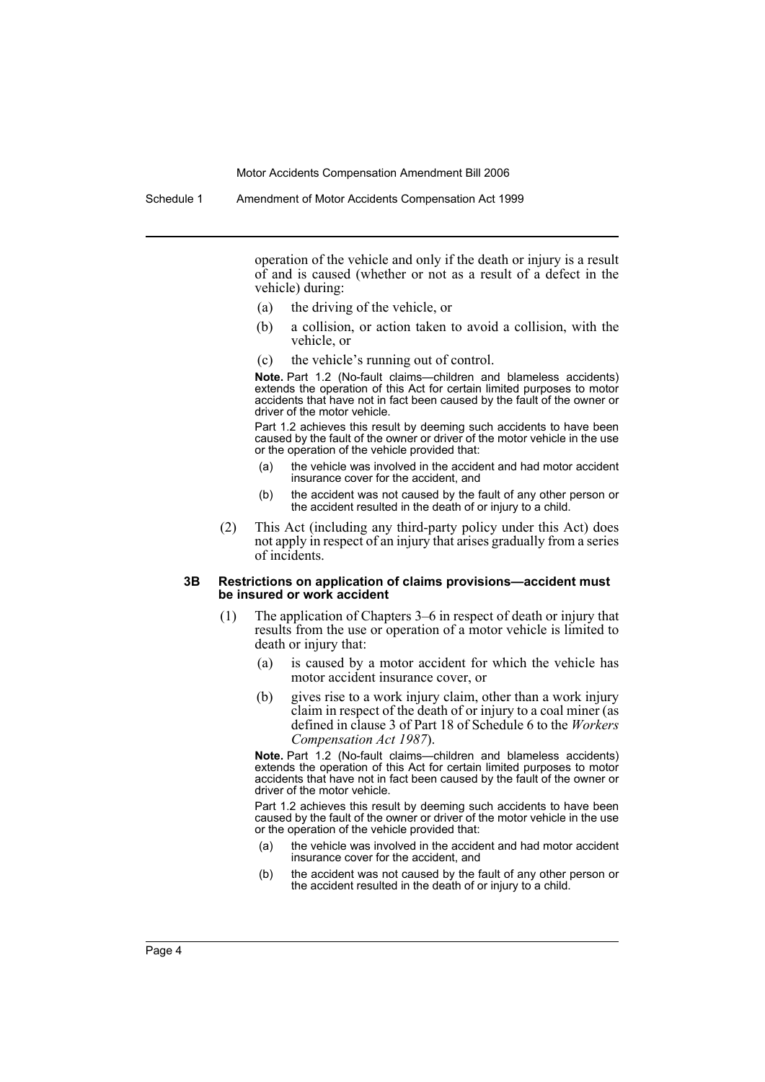operation of the vehicle and only if the death or injury is a result of and is caused (whether or not as a result of a defect in the vehicle) during:

- (a) the driving of the vehicle, or
- (b) a collision, or action taken to avoid a collision, with the vehicle, or
- (c) the vehicle's running out of control.

**Note.** Part 1.2 (No-fault claims—children and blameless accidents) extends the operation of this Act for certain limited purposes to motor accidents that have not in fact been caused by the fault of the owner or driver of the motor vehicle.

Part 1.2 achieves this result by deeming such accidents to have been caused by the fault of the owner or driver of the motor vehicle in the use or the operation of the vehicle provided that:

- (a) the vehicle was involved in the accident and had motor accident insurance cover for the accident, and
- (b) the accident was not caused by the fault of any other person or the accident resulted in the death of or injury to a child.
- (2) This Act (including any third-party policy under this Act) does not apply in respect of an injury that arises gradually from a series of incidents.

#### **3B Restrictions on application of claims provisions—accident must be insured or work accident**

- (1) The application of Chapters 3–6 in respect of death or injury that results from the use or operation of a motor vehicle is limited to death or injury that:
	- (a) is caused by a motor accident for which the vehicle has motor accident insurance cover, or
	- (b) gives rise to a work injury claim, other than a work injury claim in respect of the death of or injury to a coal miner (as defined in clause 3 of Part 18 of Schedule 6 to the *Workers Compensation Act 1987*).

**Note.** Part 1.2 (No-fault claims—children and blameless accidents) extends the operation of this Act for certain limited purposes to motor accidents that have not in fact been caused by the fault of the owner or driver of the motor vehicle.

Part 1.2 achieves this result by deeming such accidents to have been caused by the fault of the owner or driver of the motor vehicle in the use or the operation of the vehicle provided that:

- (a) the vehicle was involved in the accident and had motor accident insurance cover for the accident, and
- (b) the accident was not caused by the fault of any other person or the accident resulted in the death of or injury to a child.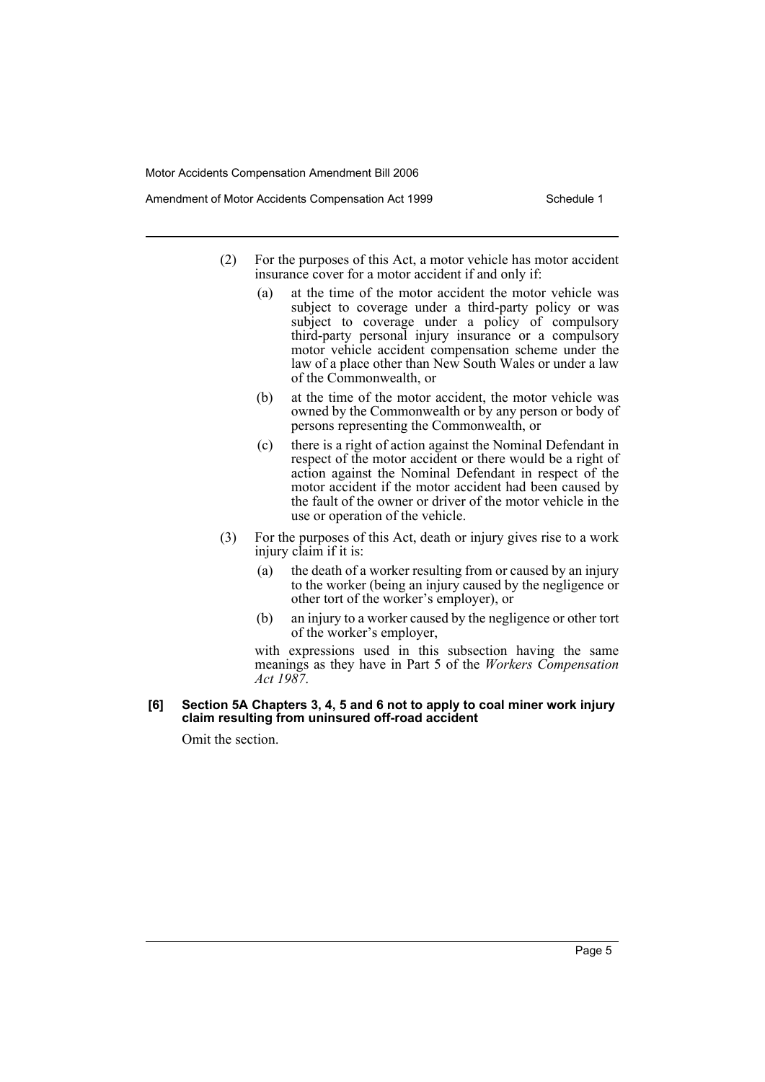Amendment of Motor Accidents Compensation Act 1999 Schedule 1

- (2) For the purposes of this Act, a motor vehicle has motor accident insurance cover for a motor accident if and only if:
	- (a) at the time of the motor accident the motor vehicle was subject to coverage under a third-party policy or was subject to coverage under a policy of compulsory third-party personal injury insurance or a compulsory motor vehicle accident compensation scheme under the law of a place other than New South Wales or under a law of the Commonwealth, or
	- (b) at the time of the motor accident, the motor vehicle was owned by the Commonwealth or by any person or body of persons representing the Commonwealth, or
	- (c) there is a right of action against the Nominal Defendant in respect of the motor accident or there would be a right of action against the Nominal Defendant in respect of the motor accident if the motor accident had been caused by the fault of the owner or driver of the motor vehicle in the use or operation of the vehicle.
- (3) For the purposes of this Act, death or injury gives rise to a work injury claim if it is:
	- (a) the death of a worker resulting from or caused by an injury to the worker (being an injury caused by the negligence or other tort of the worker's employer), or
	- (b) an injury to a worker caused by the negligence or other tort of the worker's employer,

with expressions used in this subsection having the same meanings as they have in Part 5 of the *Workers Compensation Act 1987*.

#### **[6] Section 5A Chapters 3, 4, 5 and 6 not to apply to coal miner work injury claim resulting from uninsured off-road accident**

Omit the section.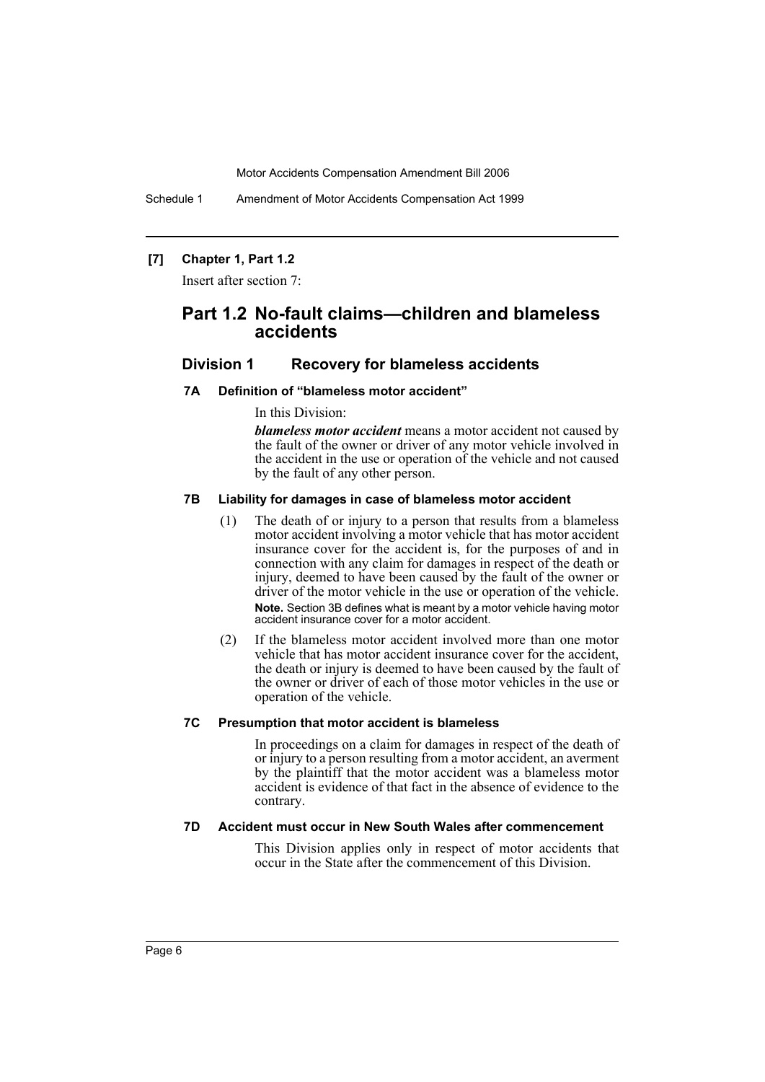Schedule 1 Amendment of Motor Accidents Compensation Act 1999

## **[7] Chapter 1, Part 1.2**

Insert after section 7:

## **Part 1.2 No-fault claims—children and blameless accidents**

## **Division 1 Recovery for blameless accidents**

#### **7A Definition of "blameless motor accident"**

In this Division:

*blameless motor accident* means a motor accident not caused by the fault of the owner or driver of any motor vehicle involved in the accident in the use or operation of the vehicle and not caused by the fault of any other person.

## **7B Liability for damages in case of blameless motor accident**

- (1) The death of or injury to a person that results from a blameless motor accident involving a motor vehicle that has motor accident insurance cover for the accident is, for the purposes of and in connection with any claim for damages in respect of the death or injury, deemed to have been caused by the fault of the owner or driver of the motor vehicle in the use or operation of the vehicle. **Note.** Section 3B defines what is meant by a motor vehicle having motor accident insurance cover for a motor accident.
- (2) If the blameless motor accident involved more than one motor vehicle that has motor accident insurance cover for the accident, the death or injury is deemed to have been caused by the fault of the owner or driver of each of those motor vehicles in the use or operation of the vehicle.

## **7C Presumption that motor accident is blameless**

In proceedings on a claim for damages in respect of the death of or injury to a person resulting from a motor accident, an averment by the plaintiff that the motor accident was a blameless motor accident is evidence of that fact in the absence of evidence to the contrary.

## **7D Accident must occur in New South Wales after commencement**

This Division applies only in respect of motor accidents that occur in the State after the commencement of this Division.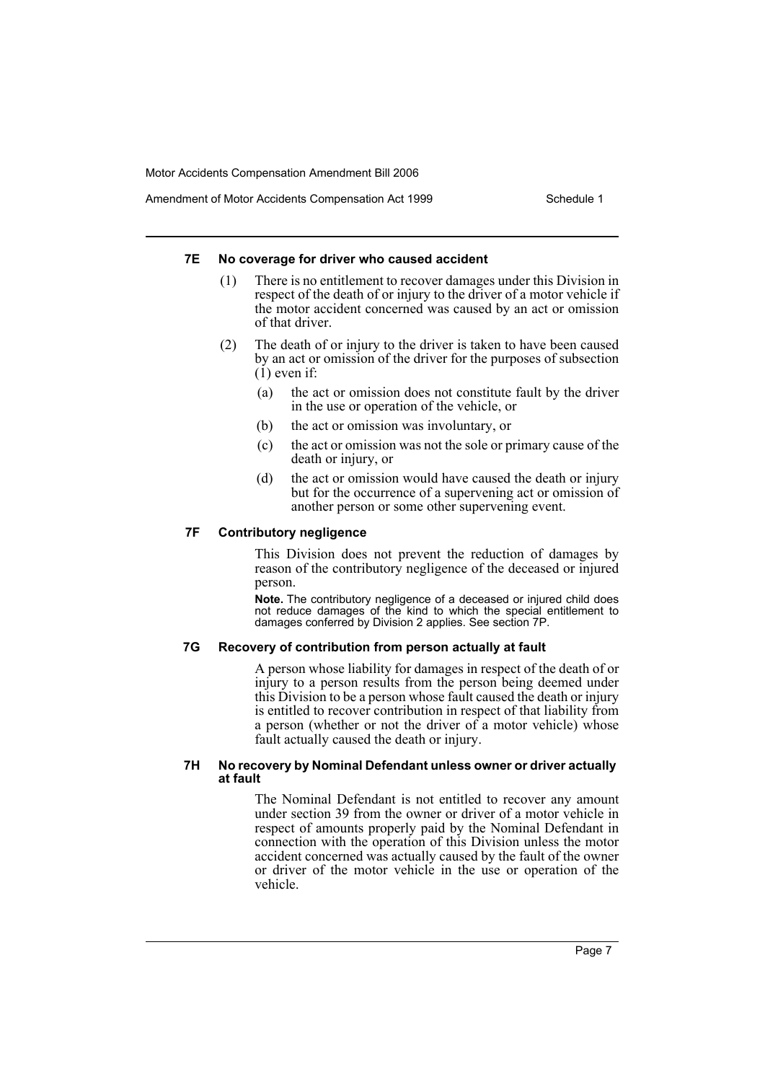Amendment of Motor Accidents Compensation Act 1999 Schedule 1

#### **7E No coverage for driver who caused accident**

- (1) There is no entitlement to recover damages under this Division in respect of the death of or injury to the driver of a motor vehicle if the motor accident concerned was caused by an act or omission of that driver.
- (2) The death of or injury to the driver is taken to have been caused by an act or omission of the driver for the purposes of subsection  $(1)$  even if:
	- (a) the act or omission does not constitute fault by the driver in the use or operation of the vehicle, or
	- (b) the act or omission was involuntary, or
	- (c) the act or omission was not the sole or primary cause of the death or injury, or
	- (d) the act or omission would have caused the death or injury but for the occurrence of a supervening act or omission of another person or some other supervening event.

## **7F Contributory negligence**

This Division does not prevent the reduction of damages by reason of the contributory negligence of the deceased or injured person.

**Note.** The contributory negligence of a deceased or injured child does not reduce damages of the kind to which the special entitlement to damages conferred by Division 2 applies. See section 7P.

#### **7G Recovery of contribution from person actually at fault**

A person whose liability for damages in respect of the death of or injury to a person results from the person being deemed under this Division to be a person whose fault caused the death or injury is entitled to recover contribution in respect of that liability from a person (whether or not the driver of a motor vehicle) whose fault actually caused the death or injury.

#### **7H No recovery by Nominal Defendant unless owner or driver actually at fault**

The Nominal Defendant is not entitled to recover any amount under section 39 from the owner or driver of a motor vehicle in respect of amounts properly paid by the Nominal Defendant in connection with the operation of this Division unless the motor accident concerned was actually caused by the fault of the owner or driver of the motor vehicle in the use or operation of the vehicle.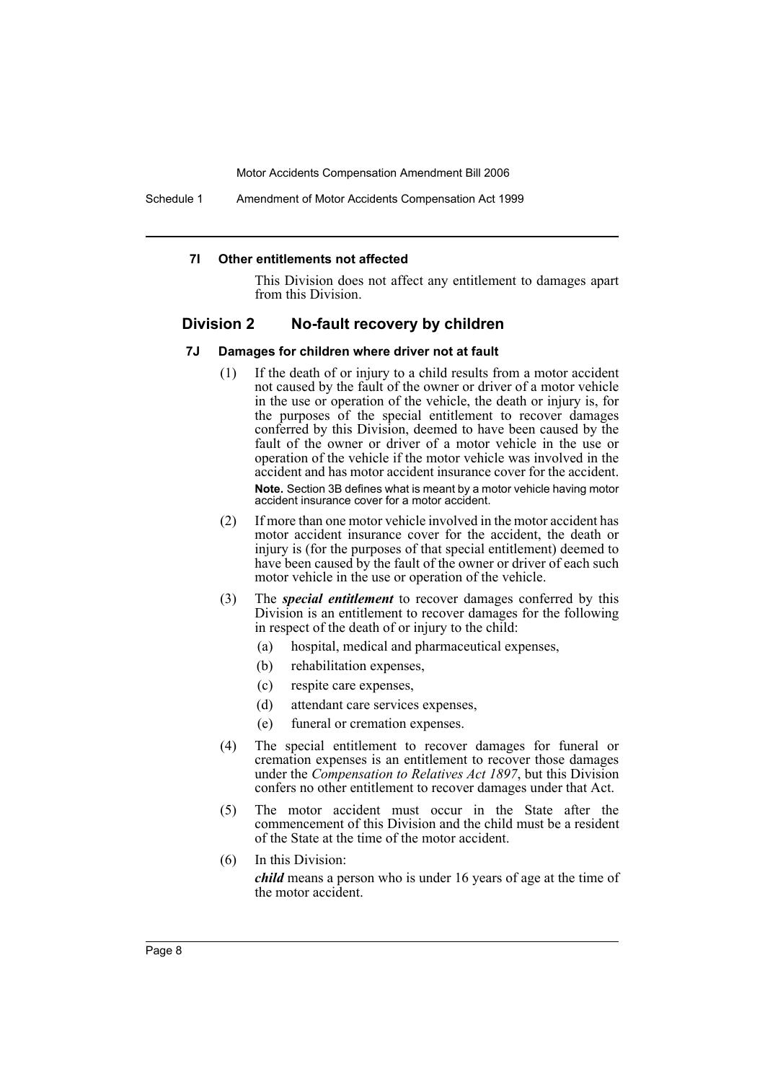Schedule 1 Amendment of Motor Accidents Compensation Act 1999

#### **7I Other entitlements not affected**

This Division does not affect any entitlement to damages apart from this Division.

## **Division 2 No-fault recovery by children**

#### **7J Damages for children where driver not at fault**

- (1) If the death of or injury to a child results from a motor accident not caused by the fault of the owner or driver of a motor vehicle in the use or operation of the vehicle, the death or injury is, for the purposes of the special entitlement to recover damages conferred by this Division, deemed to have been caused by the fault of the owner or driver of a motor vehicle in the use or operation of the vehicle if the motor vehicle was involved in the accident and has motor accident insurance cover for the accident. **Note.** Section 3B defines what is meant by a motor vehicle having motor accident insurance cover for a motor accident.
- (2) If more than one motor vehicle involved in the motor accident has motor accident insurance cover for the accident, the death or injury is (for the purposes of that special entitlement) deemed to have been caused by the fault of the owner or driver of each such motor vehicle in the use or operation of the vehicle.
- (3) The *special entitlement* to recover damages conferred by this Division is an entitlement to recover damages for the following in respect of the death of or injury to the child:
	- (a) hospital, medical and pharmaceutical expenses,
	- (b) rehabilitation expenses,
	- (c) respite care expenses,
	- (d) attendant care services expenses,
	- (e) funeral or cremation expenses.
- (4) The special entitlement to recover damages for funeral or cremation expenses is an entitlement to recover those damages under the *Compensation to Relatives Act 1897*, but this Division confers no other entitlement to recover damages under that Act.
- (5) The motor accident must occur in the State after the commencement of this Division and the child must be a resident of the State at the time of the motor accident.
- (6) In this Division:

*child* means a person who is under 16 years of age at the time of the motor accident.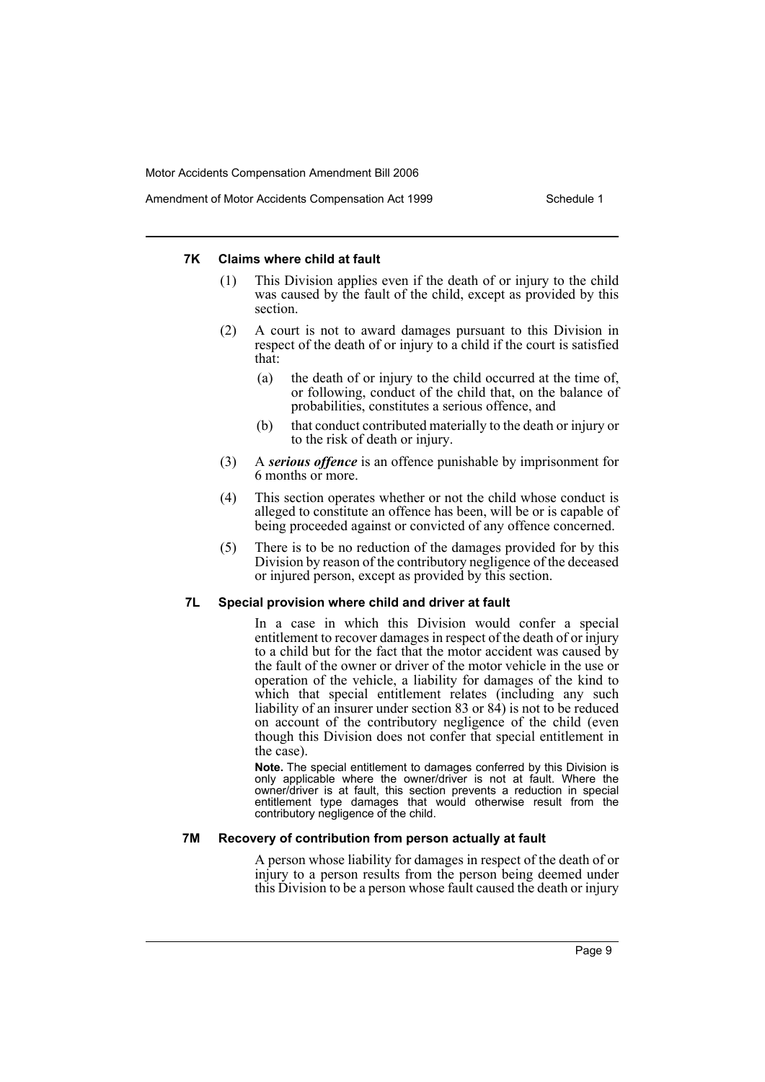#### **7K Claims where child at fault**

- (1) This Division applies even if the death of or injury to the child was caused by the fault of the child, except as provided by this section.
- (2) A court is not to award damages pursuant to this Division in respect of the death of or injury to a child if the court is satisfied that:
	- (a) the death of or injury to the child occurred at the time of, or following, conduct of the child that, on the balance of probabilities, constitutes a serious offence, and
	- (b) that conduct contributed materially to the death or injury or to the risk of death or injury.
- (3) A *serious offence* is an offence punishable by imprisonment for 6 months or more.
- (4) This section operates whether or not the child whose conduct is alleged to constitute an offence has been, will be or is capable of being proceeded against or convicted of any offence concerned.
- (5) There is to be no reduction of the damages provided for by this Division by reason of the contributory negligence of the deceased or injured person, except as provided by this section.

#### **7L Special provision where child and driver at fault**

In a case in which this Division would confer a special entitlement to recover damages in respect of the death of or injury to a child but for the fact that the motor accident was caused by the fault of the owner or driver of the motor vehicle in the use or operation of the vehicle, a liability for damages of the kind to which that special entitlement relates (including any such liability of an insurer under section 83 or 84) is not to be reduced on account of the contributory negligence of the child (even though this Division does not confer that special entitlement in the case).

**Note.** The special entitlement to damages conferred by this Division is only applicable where the owner/driver is not at fault. Where the owner/driver is at fault, this section prevents a reduction in special entitlement type damages that would otherwise result from the contributory negligence of the child.

## **7M Recovery of contribution from person actually at fault**

A person whose liability for damages in respect of the death of or injury to a person results from the person being deemed under this Division to be a person whose fault caused the death or injury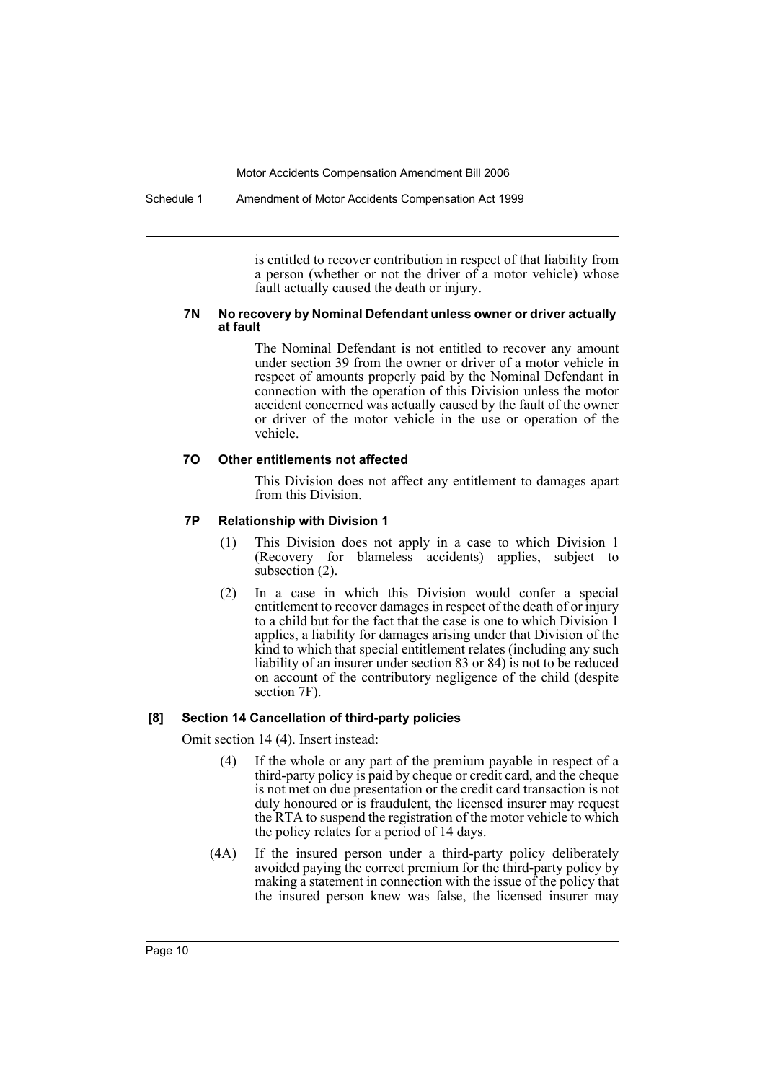Schedule 1 Amendment of Motor Accidents Compensation Act 1999

is entitled to recover contribution in respect of that liability from a person (whether or not the driver of a motor vehicle) whose fault actually caused the death or injury.

#### **7N No recovery by Nominal Defendant unless owner or driver actually at fault**

The Nominal Defendant is not entitled to recover any amount under section 39 from the owner or driver of a motor vehicle in respect of amounts properly paid by the Nominal Defendant in connection with the operation of this Division unless the motor accident concerned was actually caused by the fault of the owner or driver of the motor vehicle in the use or operation of the vehicle.

#### **7O Other entitlements not affected**

This Division does not affect any entitlement to damages apart from this Division.

## **7P Relationship with Division 1**

- (1) This Division does not apply in a case to which Division 1 (Recovery for blameless accidents) applies, subject to subsection  $(2)$ .
- (2) In a case in which this Division would confer a special entitlement to recover damages in respect of the death of or injury to a child but for the fact that the case is one to which Division 1 applies, a liability for damages arising under that Division of the kind to which that special entitlement relates (including any such liability of an insurer under section 83 or 84) is not to be reduced on account of the contributory negligence of the child (despite section 7F).

#### **[8] Section 14 Cancellation of third-party policies**

Omit section 14 (4). Insert instead:

- (4) If the whole or any part of the premium payable in respect of a third-party policy is paid by cheque or credit card, and the cheque is not met on due presentation or the credit card transaction is not duly honoured or is fraudulent, the licensed insurer may request the RTA to suspend the registration of the motor vehicle to which the policy relates for a period of 14 days.
- (4A) If the insured person under a third-party policy deliberately avoided paying the correct premium for the third-party policy by making a statement in connection with the issue of the policy that the insured person knew was false, the licensed insurer may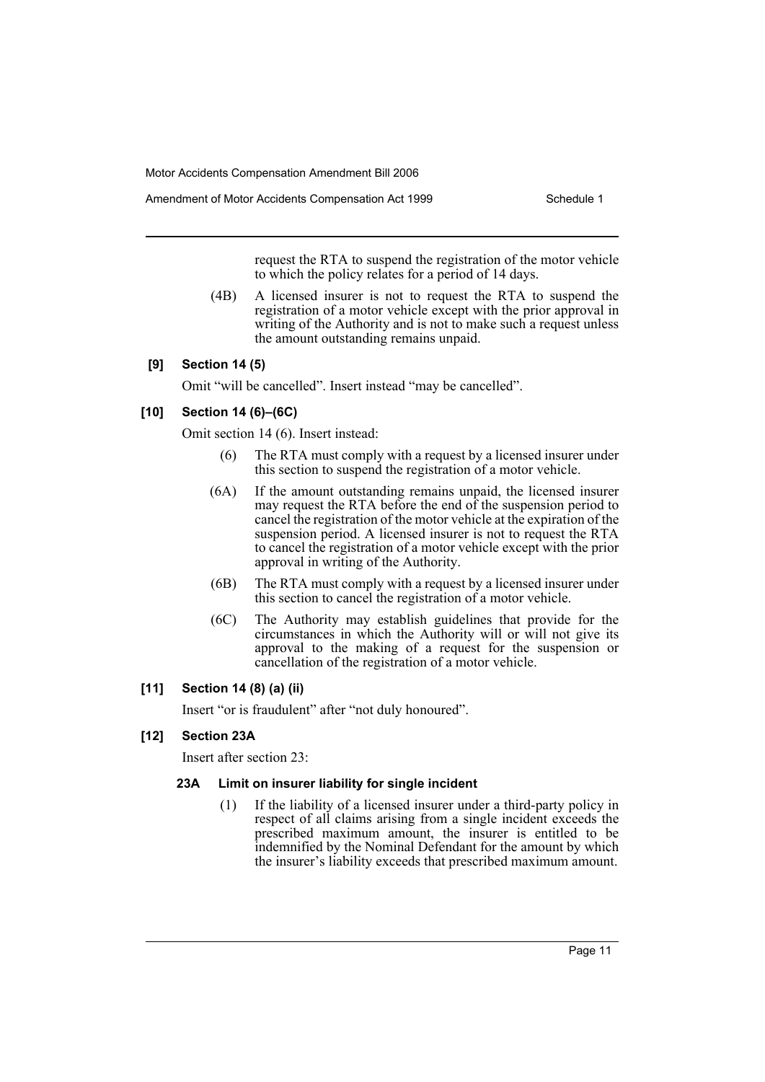Amendment of Motor Accidents Compensation Act 1999 Schedule 1

request the RTA to suspend the registration of the motor vehicle to which the policy relates for a period of 14 days.

(4B) A licensed insurer is not to request the RTA to suspend the registration of a motor vehicle except with the prior approval in writing of the Authority and is not to make such a request unless the amount outstanding remains unpaid.

## **[9] Section 14 (5)**

Omit "will be cancelled". Insert instead "may be cancelled".

## **[10] Section 14 (6)–(6C)**

Omit section 14 (6). Insert instead:

- (6) The RTA must comply with a request by a licensed insurer under this section to suspend the registration of a motor vehicle.
- (6A) If the amount outstanding remains unpaid, the licensed insurer may request the RTA before the end of the suspension period to cancel the registration of the motor vehicle at the expiration of the suspension period. A licensed insurer is not to request the RTA to cancel the registration of a motor vehicle except with the prior approval in writing of the Authority.
- (6B) The RTA must comply with a request by a licensed insurer under this section to cancel the registration of a motor vehicle.
- (6C) The Authority may establish guidelines that provide for the circumstances in which the Authority will or will not give its approval to the making of a request for the suspension or cancellation of the registration of a motor vehicle.

## **[11] Section 14 (8) (a) (ii)**

Insert "or is fraudulent" after "not duly honoured".

## **[12] Section 23A**

Insert after section 23:

#### **23A Limit on insurer liability for single incident**

(1) If the liability of a licensed insurer under a third-party policy in respect of all claims arising from a single incident exceeds the prescribed maximum amount, the insurer is entitled to be indemnified by the Nominal Defendant for the amount by which the insurer's liability exceeds that prescribed maximum amount.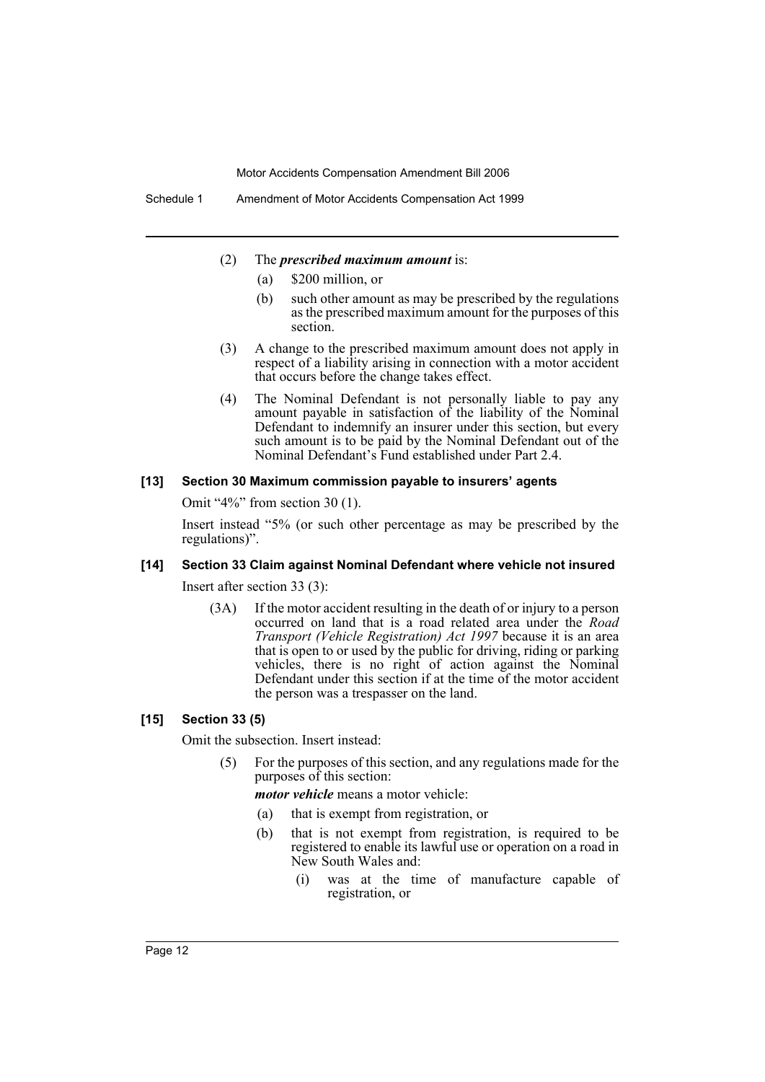- (2) The *prescribed maximum amount* is:
	- (a) \$200 million, or
	- (b) such other amount as may be prescribed by the regulations as the prescribed maximum amount for the purposes of this section.
- (3) A change to the prescribed maximum amount does not apply in respect of a liability arising in connection with a motor accident that occurs before the change takes effect.
- (4) The Nominal Defendant is not personally liable to pay any amount payable in satisfaction of the liability of the Nominal Defendant to indemnify an insurer under this section, but every such amount is to be paid by the Nominal Defendant out of the Nominal Defendant's Fund established under Part 2.4.

## **[13] Section 30 Maximum commission payable to insurers' agents**

Omit "4%" from section 30 (1).

Insert instead "5% (or such other percentage as may be prescribed by the regulations)".

## **[14] Section 33 Claim against Nominal Defendant where vehicle not insured**

Insert after section 33 (3):

(3A) If the motor accident resulting in the death of or injury to a person occurred on land that is a road related area under the *Road Transport (Vehicle Registration) Act 1997* because it is an area that is open to or used by the public for driving, riding or parking vehicles, there is no right of action against the Nominal Defendant under this section if at the time of the motor accident the person was a trespasser on the land.

#### **[15] Section 33 (5)**

Omit the subsection. Insert instead:

(5) For the purposes of this section, and any regulations made for the purposes of this section:

*motor vehicle* means a motor vehicle:

- (a) that is exempt from registration, or
- (b) that is not exempt from registration, is required to be registered to enable its lawful use or operation on a road in New South Wales and:
	- (i) was at the time of manufacture capable of registration, or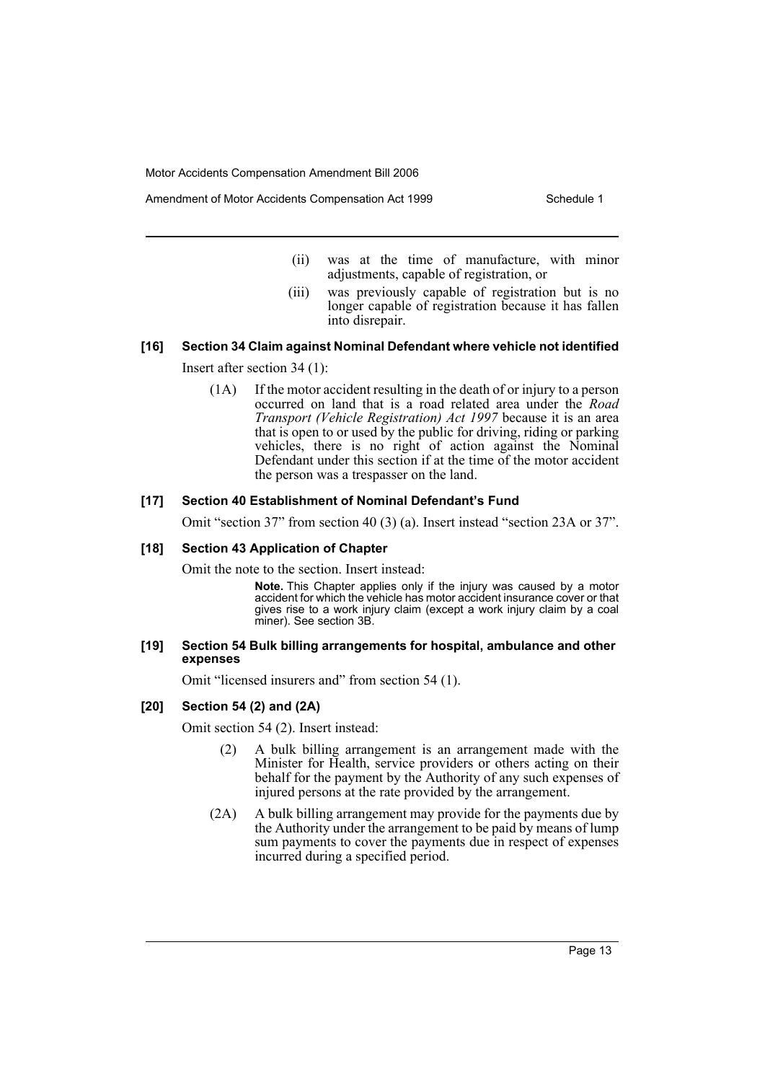Amendment of Motor Accidents Compensation Act 1999 Schedule 1

- (ii) was at the time of manufacture, with minor adjustments, capable of registration, or
- (iii) was previously capable of registration but is no longer capable of registration because it has fallen into disrepair.

## **[16] Section 34 Claim against Nominal Defendant where vehicle not identified**

Insert after section 34 (1):

(1A) If the motor accident resulting in the death of or injury to a person occurred on land that is a road related area under the *Road Transport (Vehicle Registration) Act 1997* because it is an area that is open to or used by the public for driving, riding or parking vehicles, there is no right of action against the Nominal Defendant under this section if at the time of the motor accident the person was a trespasser on the land.

#### **[17] Section 40 Establishment of Nominal Defendant's Fund**

Omit "section 37" from section 40 (3) (a). Insert instead "section 23A or 37".

#### **[18] Section 43 Application of Chapter**

Omit the note to the section. Insert instead:

**Note.** This Chapter applies only if the injury was caused by a motor accident for which the vehicle has motor accident insurance cover or that gives rise to a work injury claim (except a work injury claim by a coal miner). See section 3B.

#### **[19] Section 54 Bulk billing arrangements for hospital, ambulance and other expenses**

Omit "licensed insurers and" from section 54 (1).

#### **[20] Section 54 (2) and (2A)**

Omit section 54 (2). Insert instead:

- (2) A bulk billing arrangement is an arrangement made with the Minister for Health, service providers or others acting on their behalf for the payment by the Authority of any such expenses of injured persons at the rate provided by the arrangement.
- (2A) A bulk billing arrangement may provide for the payments due by the Authority under the arrangement to be paid by means of lump sum payments to cover the payments due in respect of expenses incurred during a specified period.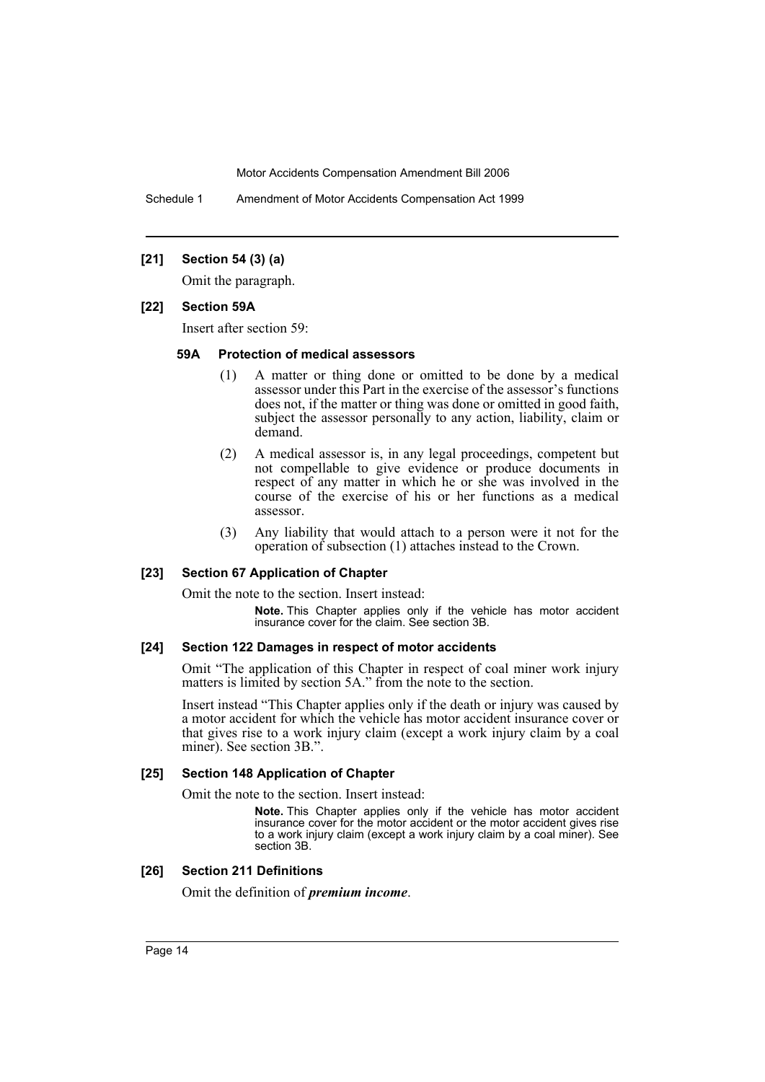Schedule 1 Amendment of Motor Accidents Compensation Act 1999

## **[21] Section 54 (3) (a)**

Omit the paragraph.

#### **[22] Section 59A**

Insert after section 59:

#### **59A Protection of medical assessors**

- (1) A matter or thing done or omitted to be done by a medical assessor under this Part in the exercise of the assessor's functions does not, if the matter or thing was done or omitted in good faith, subject the assessor personally to any action, liability, claim or demand.
- (2) A medical assessor is, in any legal proceedings, competent but not compellable to give evidence or produce documents in respect of any matter in which he or she was involved in the course of the exercise of his or her functions as a medical assessor.
- (3) Any liability that would attach to a person were it not for the operation of subsection (1) attaches instead to the Crown.

#### **[23] Section 67 Application of Chapter**

Omit the note to the section. Insert instead:

**Note.** This Chapter applies only if the vehicle has motor accident insurance cover for the claim. See section 3B.

#### **[24] Section 122 Damages in respect of motor accidents**

Omit "The application of this Chapter in respect of coal miner work injury matters is limited by section 5A." from the note to the section.

Insert instead "This Chapter applies only if the death or injury was caused by a motor accident for which the vehicle has motor accident insurance cover or that gives rise to a work injury claim (except a work injury claim by a coal miner). See section 3B.".

#### **[25] Section 148 Application of Chapter**

Omit the note to the section. Insert instead:

**Note.** This Chapter applies only if the vehicle has motor accident insurance cover for the motor accident or the motor accident gives rise to a work injury claim (except a work injury claim by a coal miner). See section 3B.

#### **[26] Section 211 Definitions**

Omit the definition of *premium income*.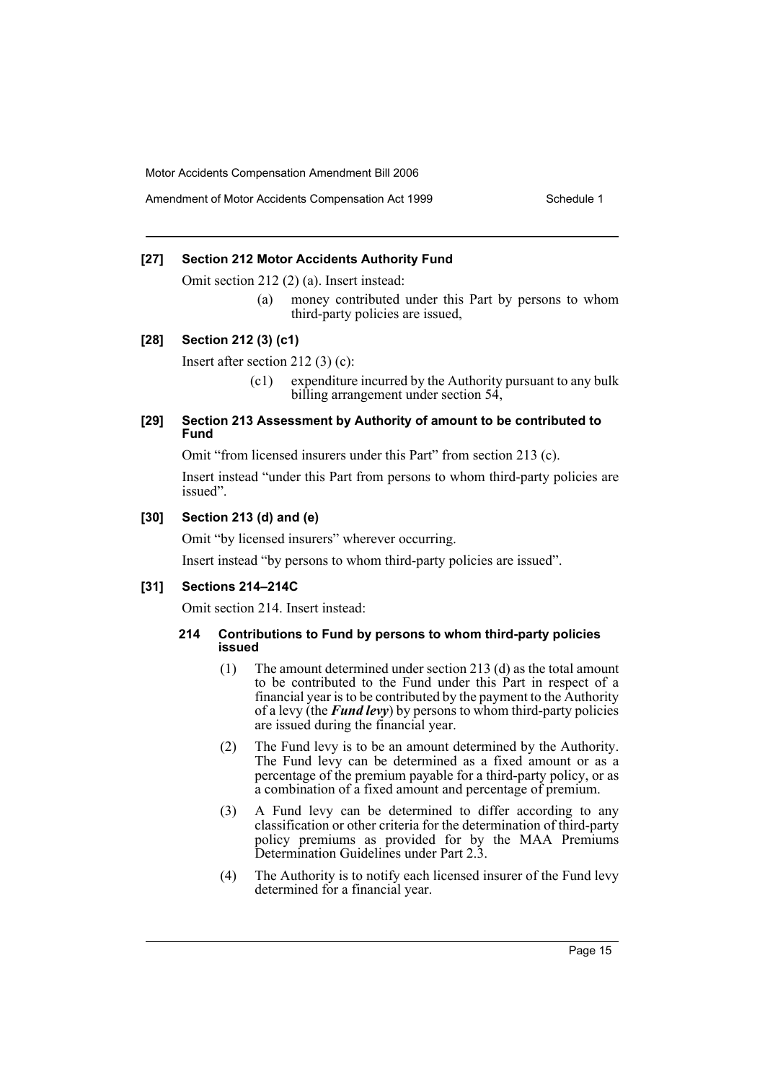### **[27] Section 212 Motor Accidents Authority Fund**

Omit section 212 (2) (a). Insert instead:

(a) money contributed under this Part by persons to whom third-party policies are issued,

#### **[28] Section 212 (3) (c1)**

Insert after section 212 (3) (c):

(c1) expenditure incurred by the Authority pursuant to any bulk billing arrangement under section 54,

#### **[29] Section 213 Assessment by Authority of amount to be contributed to Fund**

Omit "from licensed insurers under this Part" from section 213 (c).

Insert instead "under this Part from persons to whom third-party policies are issued".

## **[30] Section 213 (d) and (e)**

Omit "by licensed insurers" wherever occurring.

Insert instead "by persons to whom third-party policies are issued".

#### **[31] Sections 214–214C**

Omit section 214. Insert instead:

#### **214 Contributions to Fund by persons to whom third-party policies issued**

- (1) The amount determined under section 213 (d) as the total amount to be contributed to the Fund under this Part in respect of a financial year is to be contributed by the payment to the Authority of a levy (the *Fund levy*) by persons to whom third-party policies are issued during the financial year.
- (2) The Fund levy is to be an amount determined by the Authority. The Fund levy can be determined as a fixed amount or as a percentage of the premium payable for a third-party policy, or as a combination of a fixed amount and percentage of premium.
- (3) A Fund levy can be determined to differ according to any classification or other criteria for the determination of third-party policy premiums as provided for by the MAA Premiums Determination Guidelines under Part 2.3.
- (4) The Authority is to notify each licensed insurer of the Fund levy determined for a financial year.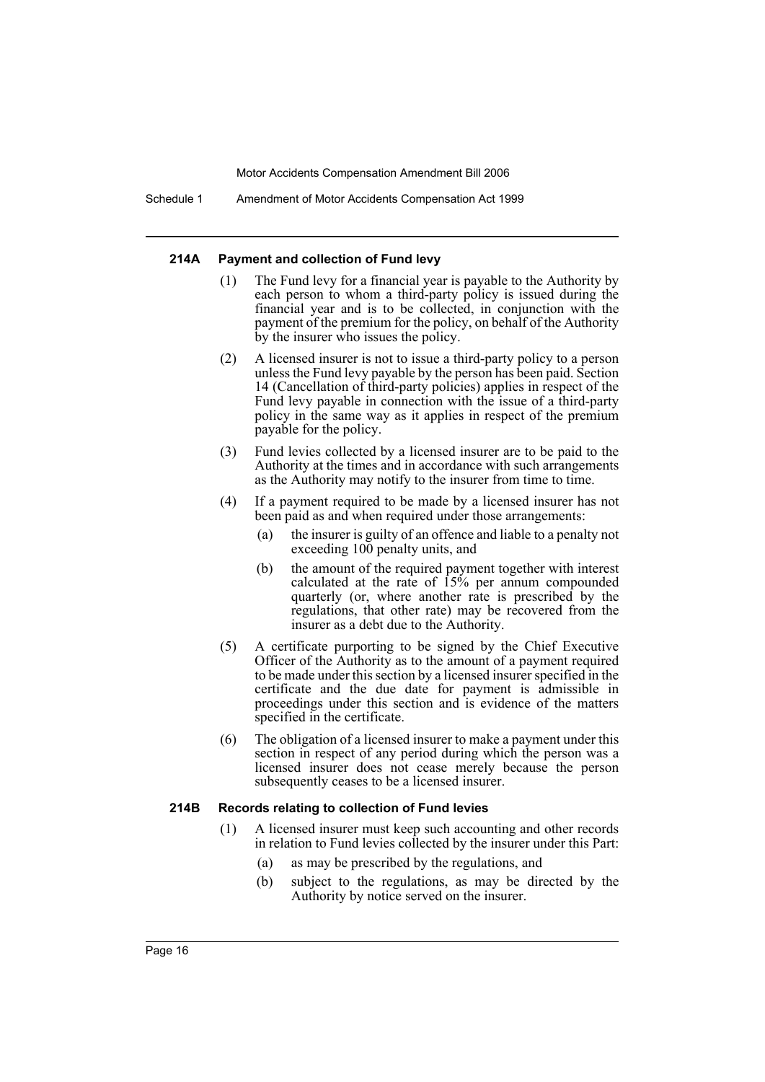Schedule 1 Amendment of Motor Accidents Compensation Act 1999

#### **214A Payment and collection of Fund levy**

- (1) The Fund levy for a financial year is payable to the Authority by each person to whom a third-party policy is issued during the financial year and is to be collected, in conjunction with the payment of the premium for the policy, on behalf of the Authority by the insurer who issues the policy.
- (2) A licensed insurer is not to issue a third-party policy to a person unless the Fund levy payable by the person has been paid. Section 14 (Cancellation of third-party policies) applies in respect of the Fund levy payable in connection with the issue of a third-party policy in the same way as it applies in respect of the premium payable for the policy.
- (3) Fund levies collected by a licensed insurer are to be paid to the Authority at the times and in accordance with such arrangements as the Authority may notify to the insurer from time to time.
- (4) If a payment required to be made by a licensed insurer has not been paid as and when required under those arrangements:
	- (a) the insurer is guilty of an offence and liable to a penalty not exceeding 100 penalty units, and
	- (b) the amount of the required payment together with interest calculated at the rate of 15% per annum compounded quarterly (or, where another rate is prescribed by the regulations, that other rate) may be recovered from the insurer as a debt due to the Authority.
- (5) A certificate purporting to be signed by the Chief Executive Officer of the Authority as to the amount of a payment required to be made under this section by a licensed insurer specified in the certificate and the due date for payment is admissible in proceedings under this section and is evidence of the matters specified in the certificate.
- (6) The obligation of a licensed insurer to make a payment under this section in respect of any period during which the person was a licensed insurer does not cease merely because the person subsequently ceases to be a licensed insurer.

#### **214B Records relating to collection of Fund levies**

- (1) A licensed insurer must keep such accounting and other records in relation to Fund levies collected by the insurer under this Part:
	- (a) as may be prescribed by the regulations, and
	- (b) subject to the regulations, as may be directed by the Authority by notice served on the insurer.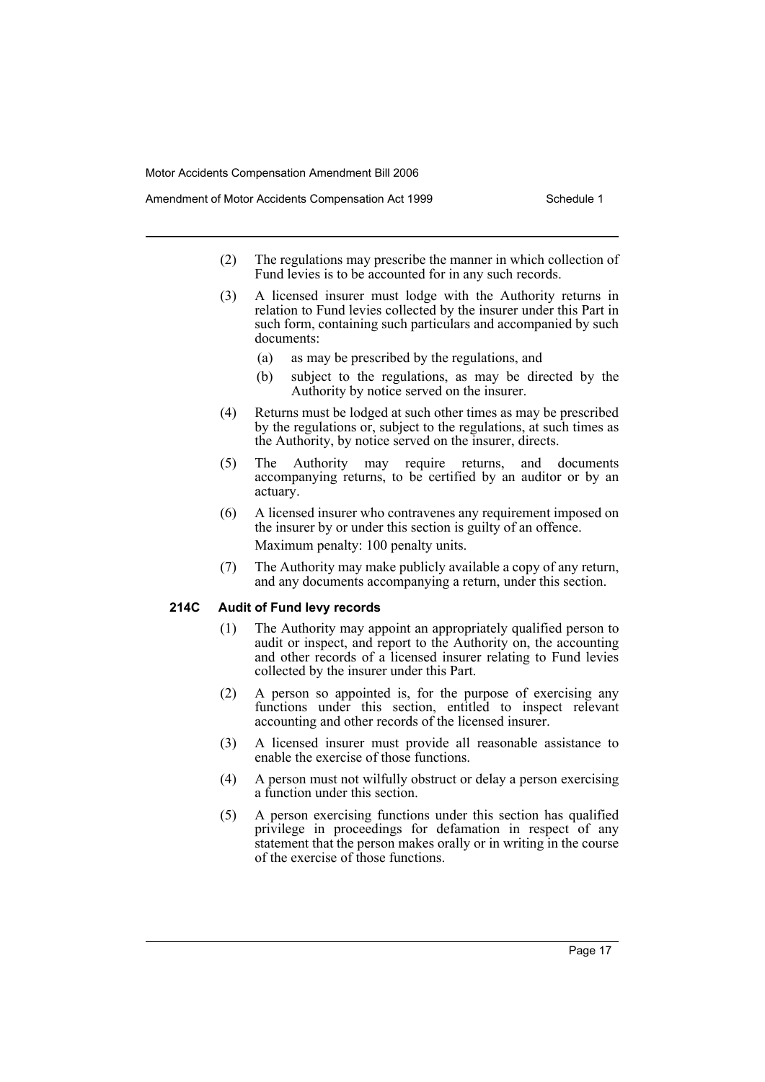- Amendment of Motor Accidents Compensation Act 1999 Schedule 1
	- (2) The regulations may prescribe the manner in which collection of Fund levies is to be accounted for in any such records.
	- (3) A licensed insurer must lodge with the Authority returns in relation to Fund levies collected by the insurer under this Part in such form, containing such particulars and accompanied by such documents:
		- (a) as may be prescribed by the regulations, and
		- (b) subject to the regulations, as may be directed by the Authority by notice served on the insurer.
	- (4) Returns must be lodged at such other times as may be prescribed by the regulations or, subject to the regulations, at such times as the Authority, by notice served on the insurer, directs.
	- (5) The Authority may require returns, and documents accompanying returns, to be certified by an auditor or by an actuary.
	- (6) A licensed insurer who contravenes any requirement imposed on the insurer by or under this section is guilty of an offence. Maximum penalty: 100 penalty units.
	- (7) The Authority may make publicly available a copy of any return, and any documents accompanying a return, under this section.

## **214C Audit of Fund levy records**

- (1) The Authority may appoint an appropriately qualified person to audit or inspect, and report to the Authority on, the accounting and other records of a licensed insurer relating to Fund levies collected by the insurer under this Part.
- (2) A person so appointed is, for the purpose of exercising any functions under this section, entitled to inspect relevant accounting and other records of the licensed insurer.
- (3) A licensed insurer must provide all reasonable assistance to enable the exercise of those functions.
- (4) A person must not wilfully obstruct or delay a person exercising a function under this section.
- (5) A person exercising functions under this section has qualified privilege in proceedings for defamation in respect of any statement that the person makes orally or in writing in the course of the exercise of those functions.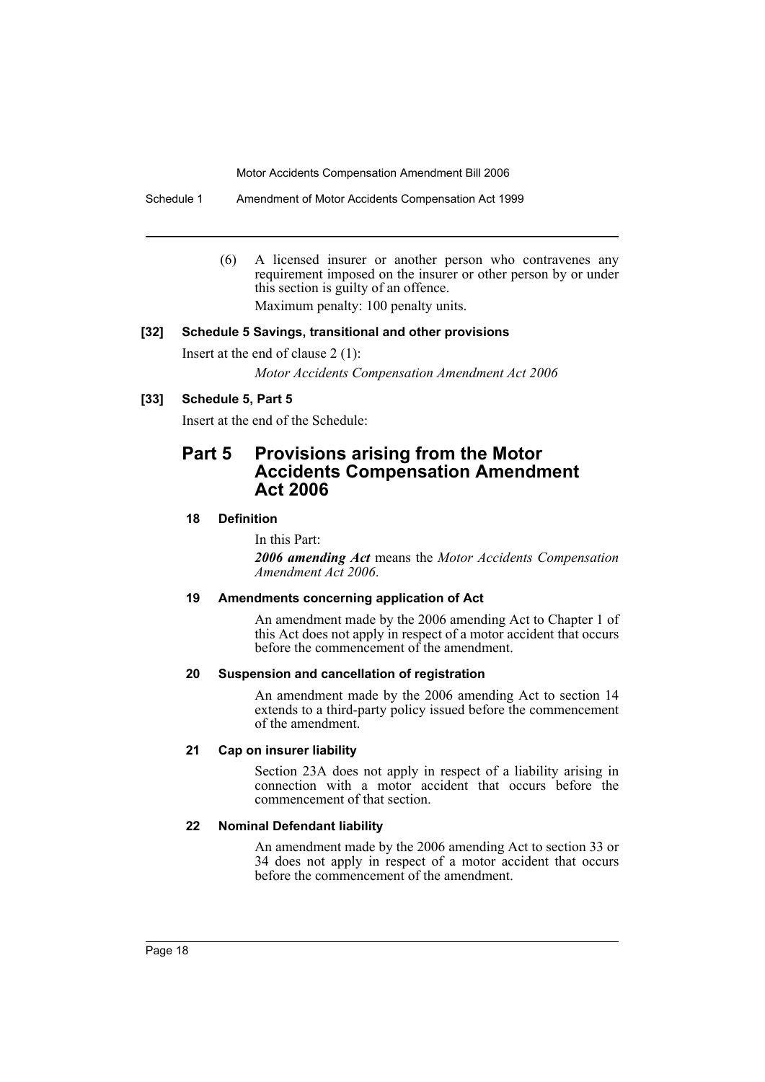Schedule 1 Amendment of Motor Accidents Compensation Act 1999

(6) A licensed insurer or another person who contravenes any requirement imposed on the insurer or other person by or under this section is guilty of an offence. Maximum penalty: 100 penalty units.

## **[32] Schedule 5 Savings, transitional and other provisions**

Insert at the end of clause 2 (1):

*Motor Accidents Compensation Amendment Act 2006*

## **[33] Schedule 5, Part 5**

Insert at the end of the Schedule:

## **Part 5 Provisions arising from the Motor Accidents Compensation Amendment Act 2006**

## **18 Definition**

In this Part:

*2006 amending Act* means the *Motor Accidents Compensation Amendment Act 2006*.

#### **19 Amendments concerning application of Act**

An amendment made by the 2006 amending Act to Chapter 1 of this Act does not apply in respect of a motor accident that occurs before the commencement of the amendment.

#### **20 Suspension and cancellation of registration**

An amendment made by the 2006 amending Act to section 14 extends to a third-party policy issued before the commencement of the amendment.

#### **21 Cap on insurer liability**

Section 23A does not apply in respect of a liability arising in connection with a motor accident that occurs before the commencement of that section.

#### **22 Nominal Defendant liability**

An amendment made by the 2006 amending Act to section 33 or 34 does not apply in respect of a motor accident that occurs before the commencement of the amendment.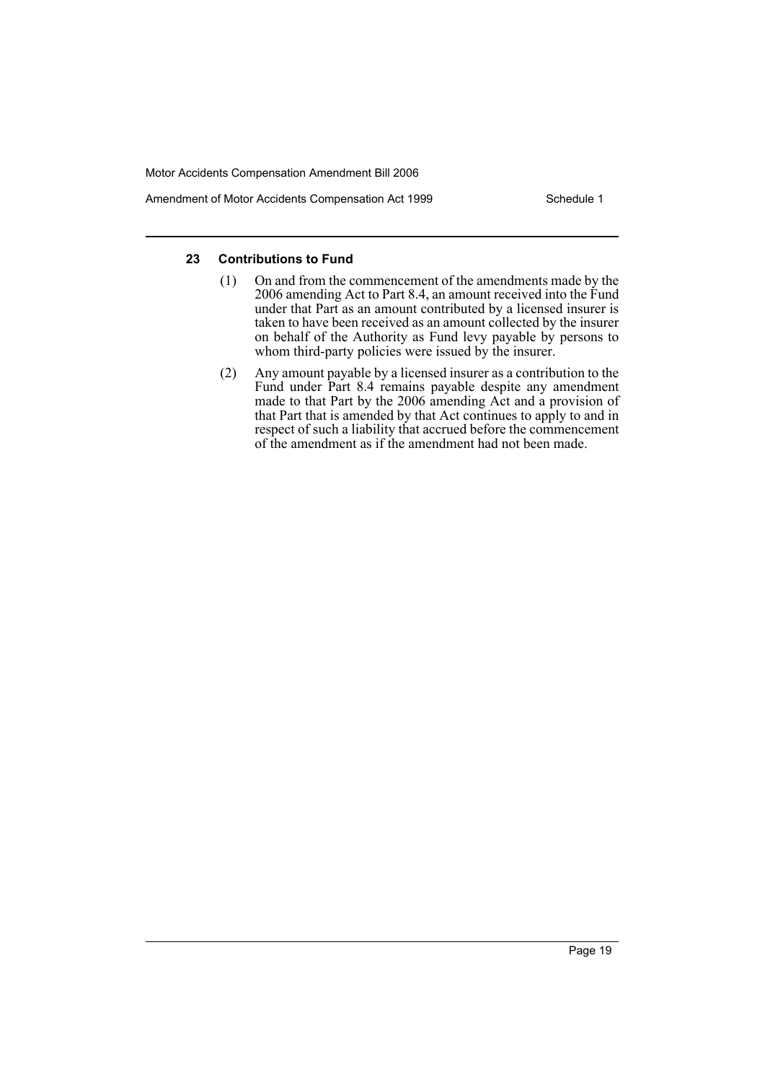Amendment of Motor Accidents Compensation Act 1999 Schedule 1

## **23 Contributions to Fund**

- (1) On and from the commencement of the amendments made by the 2006 amending Act to Part 8.4, an amount received into the Fund under that Part as an amount contributed by a licensed insurer is taken to have been received as an amount collected by the insurer on behalf of the Authority as Fund levy payable by persons to whom third-party policies were issued by the insurer.
- (2) Any amount payable by a licensed insurer as a contribution to the Fund under Part 8.4 remains payable despite any amendment made to that Part by the 2006 amending Act and a provision of that Part that is amended by that Act continues to apply to and in respect of such a liability that accrued before the commencement of the amendment as if the amendment had not been made.